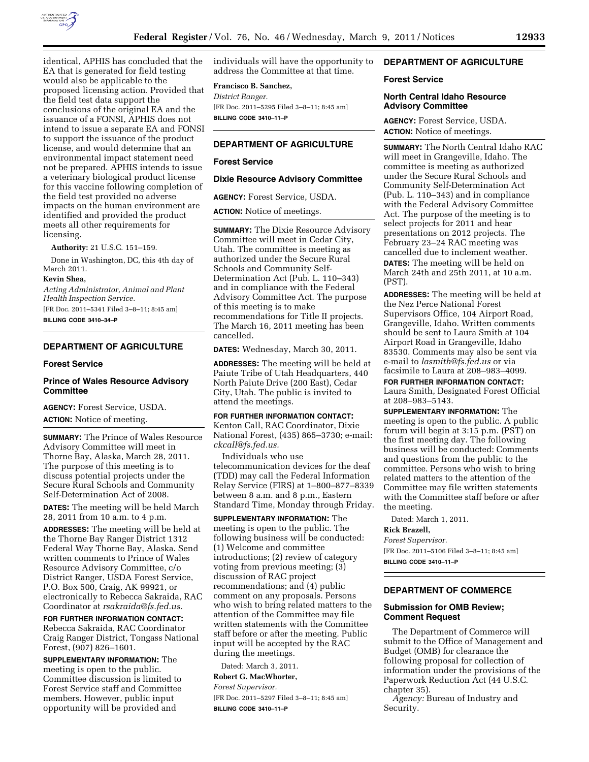

identical, APHIS has concluded that the EA that is generated for field testing would also be applicable to the proposed licensing action. Provided that the field test data support the conclusions of the original EA and the issuance of a FONSI, APHIS does not intend to issue a separate EA and FONSI to support the issuance of the product license, and would determine that an environmental impact statement need not be prepared. APHIS intends to issue a veterinary biological product license for this vaccine following completion of the field test provided no adverse impacts on the human environment are identified and provided the product meets all other requirements for licensing.

**Authority:** 21 U.S.C. 151–159.

Done in Washington, DC, this 4th day of March 2011.

### **Kevin Shea,**

*Acting Administrator, Animal and Plant Health Inspection Service.* 

[FR Doc. 2011–5341 Filed 3–8–11; 8:45 am] **BILLING CODE 3410–34–P** 

## **DEPARTMENT OF AGRICULTURE**

### **Forest Service**

# **Prince of Wales Resource Advisory Committee**

**AGENCY:** Forest Service, USDA.

**ACTION:** Notice of meeting.

**SUMMARY:** The Prince of Wales Resource Advisory Committee will meet in Thorne Bay, Alaska, March 28, 2011. The purpose of this meeting is to discuss potential projects under the Secure Rural Schools and Community Self-Determination Act of 2008.

**DATES:** The meeting will be held March 28, 2011 from 10 a.m. to 4 p.m.

**ADDRESSES:** The meeting will be held at the Thorne Bay Ranger District 1312 Federal Way Thorne Bay, Alaska. Send written comments to Prince of Wales Resource Advisory Committee, c/o District Ranger, USDA Forest Service, P.O. Box 500, Craig, AK 99921, or electronically to Rebecca Sakraida, RAC Coordinator at *[rsakraida@fs.fed.us.](mailto:rsakraida@fs.fed.us)* 

**FOR FURTHER INFORMATION CONTACT:**  Rebecca Sakraida, RAC Coordinator Craig Ranger District, Tongass National Forest, (907) 826–1601.

**SUPPLEMENTARY INFORMATION:** The meeting is open to the public. Committee discussion is limited to Forest Service staff and Committee members. However, public input opportunity will be provided and

individuals will have the opportunity to address the Committee at that time.

### **Francisco B. Sanchez,**

*District Ranger.*  [FR Doc. 2011–5295 Filed 3–8–11; 8:45 am] **BILLING CODE 3410–11–P** 

## **DEPARTMENT OF AGRICULTURE**

#### **Forest Service**

#### **Dixie Resource Advisory Committee**

**AGENCY:** Forest Service, USDA.

**ACTION:** Notice of meetings.

**SUMMARY:** The Dixie Resource Advisory Committee will meet in Cedar City, Utah. The committee is meeting as authorized under the Secure Rural Schools and Community Self-Determination Act (Pub. L. 110–343) and in compliance with the Federal Advisory Committee Act. The purpose of this meeting is to make recommendations for Title II projects. The March 16, 2011 meeting has been cancelled.

**DATES:** Wednesday, March 30, 2011.

**ADDRESSES:** The meeting will be held at Paiute Tribe of Utah Headquarters, 440 North Paiute Drive (200 East), Cedar City, Utah. The public is invited to attend the meetings.

#### **FOR FURTHER INFORMATION CONTACT:**

Kenton Call, RAC Coordinator, Dixie National Forest, (435) 865–3730; e-mail: *[ckcall@fs.fed.us.](mailto:ckcall@fs.fed.us)* 

Individuals who use telecommunication devices for the deaf (TDD) may call the Federal Information Relay Service (FIRS) at 1–800–877–8339 between 8 a.m. and 8 p.m., Eastern Standard Time, Monday through Friday.

**SUPPLEMENTARY INFORMATION:** The meeting is open to the public. The following business will be conducted: (1) Welcome and committee introductions; (2) review of category voting from previous meeting; (3) discussion of RAC project recommendations; and (4) public comment on any proposals. Persons who wish to bring related matters to the attention of the Committee may file written statements with the Committee staff before or after the meeting. Public input will be accepted by the RAC during the meetings.

Dated: March 3, 2011.

#### **Robert G. MacWhorter,**

*Forest Supervisor.* 

[FR Doc. 2011–5297 Filed 3–8–11; 8:45 am] **BILLING CODE 3410–11–P** 

# **DEPARTMENT OF AGRICULTURE**

### **Forest Service**

### **North Central Idaho Resource Advisory Committee**

**AGENCY:** Forest Service, USDA. **ACTION:** Notice of meetings.

**SUMMARY:** The North Central Idaho RAC will meet in Grangeville, Idaho. The committee is meeting as authorized under the Secure Rural Schools and Community Self-Determination Act (Pub. L. 110–343) and in compliance with the Federal Advisory Committee Act. The purpose of the meeting is to select projects for 2011 and hear presentations on 2012 projects. The February 23–24 RAC meeting was cancelled due to inclement weather. **DATES:** The meeting will be held on March 24th and 25th 2011, at 10 a.m. (PST).

**ADDRESSES:** The meeting will be held at the Nez Perce National Forest Supervisors Office, 104 Airport Road, Grangeville, Idaho. Written comments should be sent to Laura Smith at 104 Airport Road in Grangeville, Idaho 83530. Comments may also be sent via e-mail to *[lasmith@fs.fed.us](mailto:lasmith@fs.fed.us)* or via facsimile to Laura at 208–983–4099. **FOR FURTHER INFORMATION CONTACT:** 

Laura Smith, Designated Forest Official at 208–983–5143.

**SUPPLEMENTARY INFORMATION:** The meeting is open to the public. A public forum will begin at 3:15 p.m. (PST) on the first meeting day. The following business will be conducted: Comments and questions from the public to the committee. Persons who wish to bring related matters to the attention of the Committee may file written statements with the Committee staff before or after the meeting.

Dated: March 1, 2011.

# **Rick Brazell,**

*Forest Supervisor.*  [FR Doc. 2011–5106 Filed 3–8–11; 8:45 am] **BILLING CODE 3410–11–P** 

# **DEPARTMENT OF COMMERCE**

### **Submission for OMB Review; Comment Request**

The Department of Commerce will submit to the Office of Management and Budget (OMB) for clearance the following proposal for collection of information under the provisions of the Paperwork Reduction Act (44 U.S.C. chapter 35).

*Agency:* Bureau of Industry and Security.